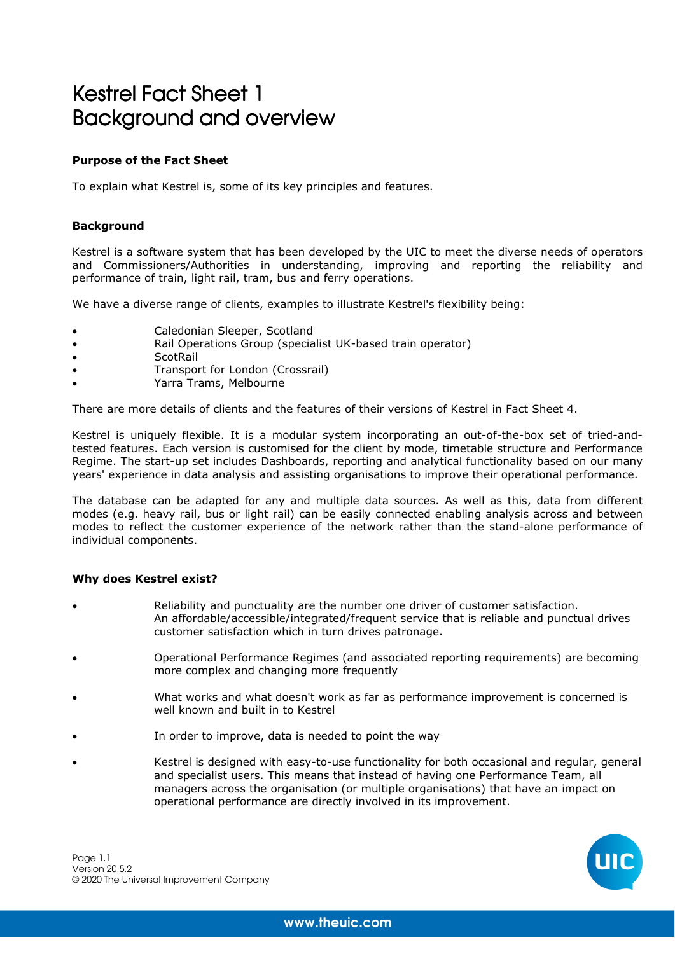# Kestrel Fact Sheet 1 Background and overview

# **Purpose of the Fact Sheet**

To explain what Kestrel is, some of its key principles and features.

# **Background**

Kestrel is a software system that has been developed by the UIC to meet the diverse needs of operators and Commissioners/Authorities in understanding, improving and reporting the reliability and performance of train, light rail, tram, bus and ferry operations.

We have a diverse range of clients, examples to illustrate Kestrel's flexibility being:

- Caledonian Sleeper, Scotland
- Rail Operations Group (specialist UK-based train operator)
- ScotRail
- Transport for London (Crossrail)
- Yarra Trams, Melbourne

There are more details of clients and the features of their versions of Kestrel in Fact Sheet 4.

Kestrel is uniquely flexible. It is a modular system incorporating an out-of-the-box set of tried-andtested features. Each version is customised for the client by mode, timetable structure and Performance Regime. The start-up set includes Dashboards, reporting and analytical functionality based on our many years' experience in data analysis and assisting organisations to improve their operational performance.

The database can be adapted for any and multiple data sources. As well as this, data from different modes (e.g. heavy rail, bus or light rail) can be easily connected enabling analysis across and between modes to reflect the customer experience of the network rather than the stand-alone performance of individual components.

# **Why does Kestrel exist?**

- Reliability and punctuality are the number one driver of customer satisfaction. An affordable/accessible/integrated/frequent service that is reliable and punctual drives customer satisfaction which in turn drives patronage.
- Operational Performance Regimes (and associated reporting requirements) are becoming more complex and changing more frequently
- What works and what doesn't work as far as performance improvement is concerned is well known and built in to Kestrel
- In order to improve, data is needed to point the way
- Kestrel is designed with easy-to-use functionality for both occasional and regular, general and specialist users. This means that instead of having one Performance Team, all managers across the organisation (or multiple organisations) that have an impact on operational performance are directly involved in its improvement.

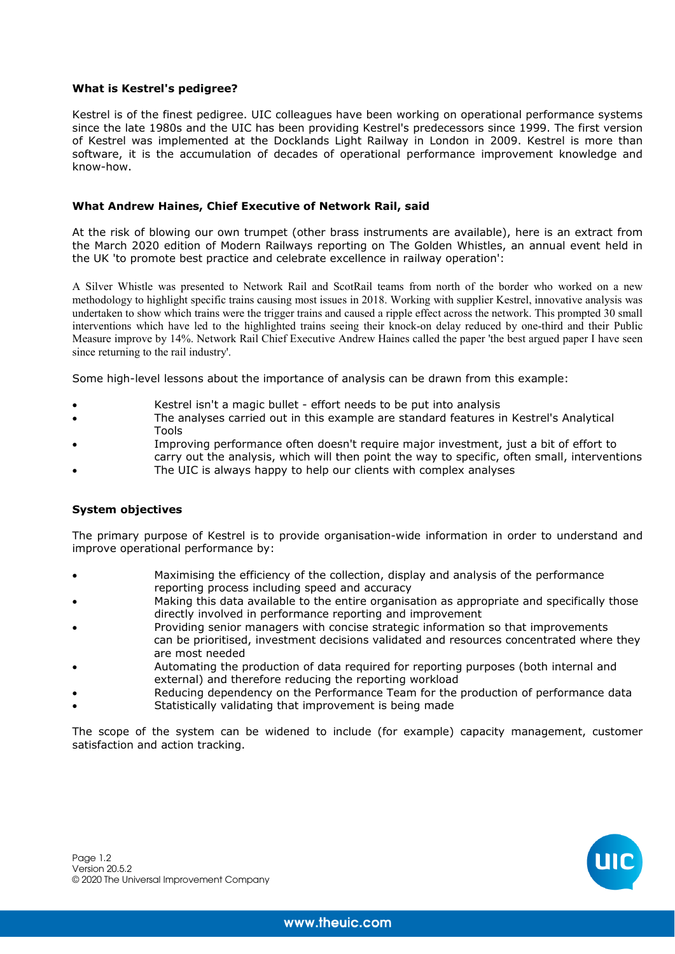#### **What is Kestrel's pedigree?**

Kestrel is of the finest pedigree. UIC colleagues have been working on operational performance systems since the late 1980s and the UIC has been providing Kestrel's predecessors since 1999. The first version of Kestrel was implemented at the Docklands Light Railway in London in 2009. Kestrel is more than software, it is the accumulation of decades of operational performance improvement knowledge and know-how.

#### **What Andrew Haines, Chief Executive of Network Rail, said**

At the risk of blowing our own trumpet (other brass instruments are available), here is an extract from the March 2020 edition of Modern Railways reporting on The Golden Whistles, an annual event held in the UK 'to promote best practice and celebrate excellence in railway operation':

A Silver Whistle was presented to Network Rail and ScotRail teams from north of the border who worked on a new methodology to highlight specific trains causing most issues in 2018. Working with supplier Kestrel, innovative analysis was undertaken to show which trains were the trigger trains and caused a ripple effect across the network. This prompted 30 small interventions which have led to the highlighted trains seeing their knock-on delay reduced by one-third and their Public Measure improve by 14%. Network Rail Chief Executive Andrew Haines called the paper 'the best argued paper I have seen since returning to the rail industry'.

Some high-level lessons about the importance of analysis can be drawn from this example:

- Kestrel isn't a magic bullet effort needs to be put into analysis
- The analyses carried out in this example are standard features in Kestrel's Analytical Tools
- Improving performance often doesn't require major investment, just a bit of effort to
- carry out the analysis, which will then point the way to specific, often small, interventions The UIC is always happy to help our clients with complex analyses

#### **System objectives**

The primary purpose of Kestrel is to provide organisation-wide information in order to understand and improve operational performance by:

- Maximising the efficiency of the collection, display and analysis of the performance reporting process including speed and accuracy
- Making this data available to the entire organisation as appropriate and specifically those directly involved in performance reporting and improvement
- Providing senior managers with concise strategic information so that improvements can be prioritised, investment decisions validated and resources concentrated where they are most needed
- Automating the production of data required for reporting purposes (both internal and external) and therefore reducing the reporting workload
- Reducing dependency on the Performance Team for the production of performance data
- Statistically validating that improvement is being made

The scope of the system can be widened to include (for example) capacity management, customer satisfaction and action tracking.

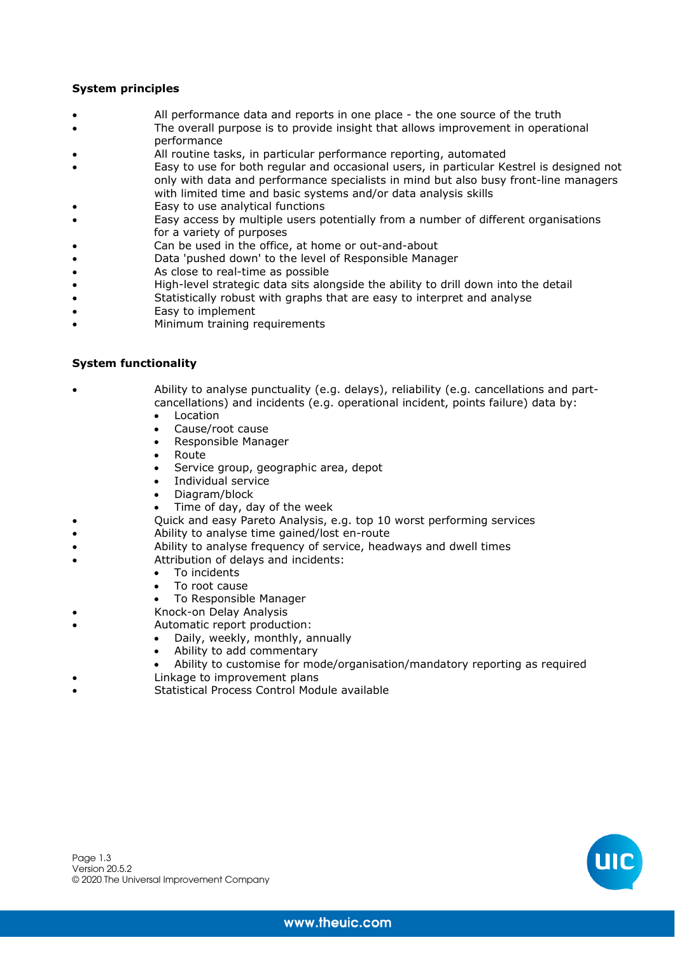# **System principles**

- All performance data and reports in one place the one source of the truth
	- The overall purpose is to provide insight that allows improvement in operational performance
- All routine tasks, in particular performance reporting, automated
- Easy to use for both regular and occasional users, in particular Kestrel is designed not only with data and performance specialists in mind but also busy front-line managers with limited time and basic systems and/or data analysis skills
- Easy to use analytical functions
- Easy access by multiple users potentially from a number of different organisations for a variety of purposes
- Can be used in the office, at home or out-and-about
- Data 'pushed down' to the level of Responsible Manager
- As close to real-time as possible
- High-level strategic data sits alongside the ability to drill down into the detail
- Statistically robust with graphs that are easy to interpret and analyse
- Easy to implement
- Minimum training requirements

#### **System functionality**

- Ability to analyse punctuality (e.g. delays), reliability (e.g. cancellations and partcancellations) and incidents (e.g. operational incident, points failure) data by:
	- Location
	- Cause/root cause
	- Responsible Manager
	- Route
	- Service group, geographic area, depot
	- Individual service
	- Diagram/block
	- Time of day, day of the week
- Quick and easy Pareto Analysis, e.g. top 10 worst performing services
	- Ability to analyse time gained/lost en-route
- Ability to analyse frequency of service, headways and dwell times
- Attribution of delays and incidents:
	- To incidents
	- To root cause
	- To Responsible Manager
- Knock-on Delay Analysis
	- Automatic report production:
		- Daily, weekly, monthly, annually
		- Ability to add commentary
		- Ability to customise for mode/organisation/mandatory reporting as required
- Linkage to improvement plans
- Statistical Process Control Module available

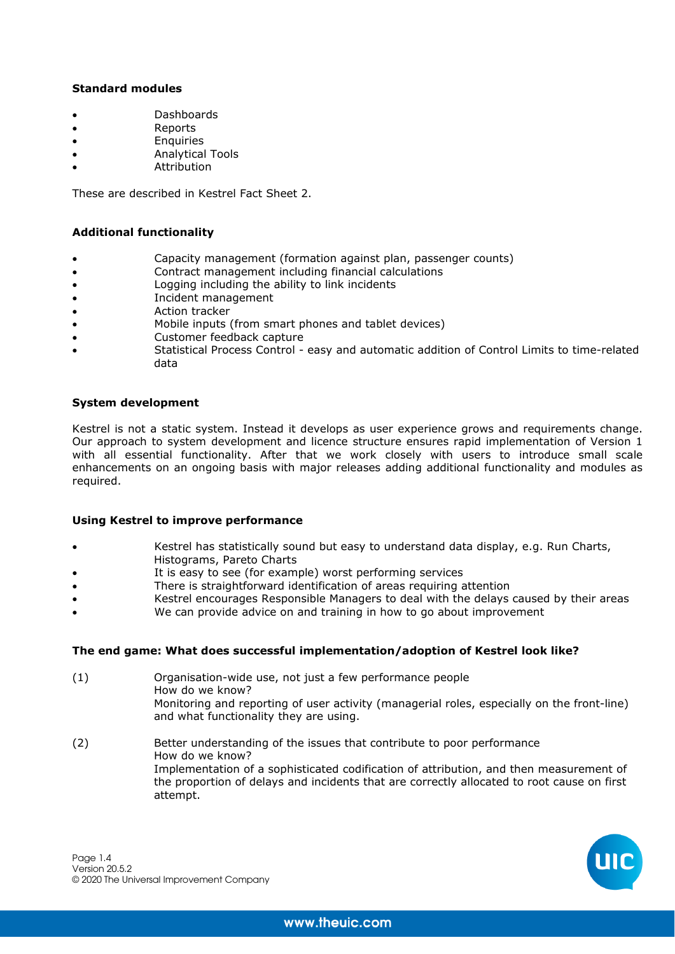# **Standard modules**

- Dashboards
- Reports
- Enquiries
- Analytical Tools
- Attribution

These are described in Kestrel Fact Sheet 2.

# **Additional functionality**

- Capacity management (formation against plan, passenger counts)
- Contract management including financial calculations
- Logging including the ability to link incidents
- Incident management
- Action tracker
- Mobile inputs (from smart phones and tablet devices)
- Customer feedback capture
- Statistical Process Control easy and automatic addition of Control Limits to time-related data

# **System development**

Kestrel is not a static system. Instead it develops as user experience grows and requirements change. Our approach to system development and licence structure ensures rapid implementation of Version 1 with all essential functionality. After that we work closely with users to introduce small scale enhancements on an ongoing basis with major releases adding additional functionality and modules as required.

# **Using Kestrel to improve performance**

- Kestrel has statistically sound but easy to understand data display, e.g. Run Charts, Histograms, Pareto Charts
- It is easy to see (for example) worst performing services
- There is straightforward identification of areas requiring attention
- Kestrel encourages Responsible Managers to deal with the delays caused by their areas
- We can provide advice on and training in how to go about improvement

# **The end game: What does successful implementation/adoption of Kestrel look like?**

- (1) Organisation-wide use, not just a few performance people How do we know? Monitoring and reporting of user activity (managerial roles, especially on the front-line) and what functionality they are using.
- (2) Better understanding of the issues that contribute to poor performance How do we know? Implementation of a sophisticated codification of attribution, and then measurement of the proportion of delays and incidents that are correctly allocated to root cause on first attempt.